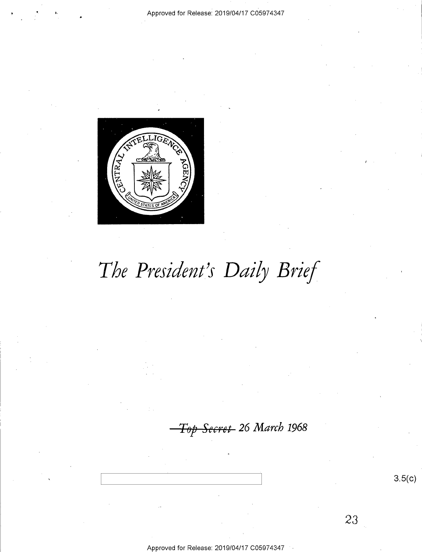## Approved for Release: 2019/04/17 C05974347



# The President's Daily Brief

Top Secret 26 March 1968

 $3.5(c)$ 

23

Approved for Release: 2019/04/17 C059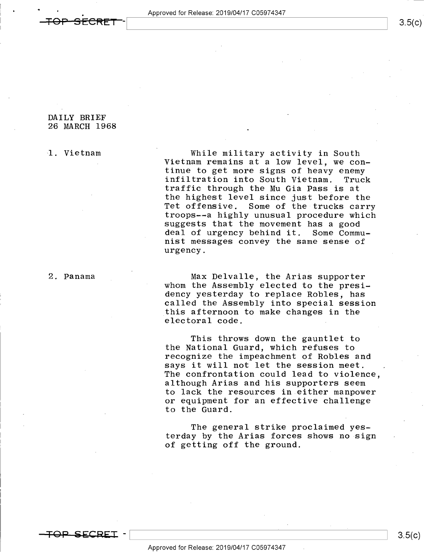$\bullet$  '  $\bullet$ 

 $3.5(c)$ 

## DAILY BRIEF 26 MARCH 1968

1. Vietnam While military activity in South Vietnam remains at a low level, we con-<br>tinue to get more signs of heavy enemy infiltration into South Vietnam. Truck<br>traffic through the Mu Gia Pass is at the highest level since just before the<br>Tet offensive. Some of the trucks carry troops--a highly unusual procedure which<br>suggests that the movement has a good<br>deal of urgency behind it. Some Commudeal of urgency behind it. nist messages convey the same sense of urgency.

2. Panama Max Delvalle, the Arias supporter whom the Assembly elected to the presi-<br>dency yesterday to replace Robles, has called the Assembly into special session this afternoon to make changes in the electoral code.

> This throws down the gauntlet to the National Guard, which refuses to recognize the impeachment of Robles and says it will not let the session meet. The confrontation could lead to violence, although Arias and his supporters seem to lack the resources in either manpower or equipment for an effective challenge to the Guard.

The general strike proclaimed yesterday by the Arias forces shows no-sign of getting off the ground.

 $\overline{\texttt{FOP}-}\texttt{SECREI}$  -

 $\qquad \qquad \overline{S}.5(6)$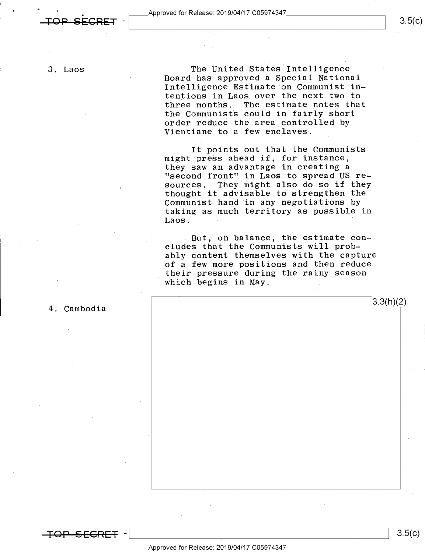$\begin{array}{c|c|c|c|c|c} \multicolumn{2}{c|}{\textbf{APP}} & \multicolumn{2}{c|}{\textbf{APP}} & \multicolumn{2}{c|}{\textbf{APP}} & \multicolumn{2}{c|}{\textbf{APP}} & \multicolumn{2}{c|}{\textbf{SCREF}} & \multicolumn{2}{c|}{\textbf{APP}} & \multicolumn{2}{c|}{\textbf{APP}} & \multicolumn{2}{c|}{\textbf{APP}} & \multicolumn{2}{c|}{\textbf{APP}} & \multicolumn{2}{c|}{\textbf{APP}} & \multicolumn{2}{c|}{\textbf{APP}} & \multicolumn{2}{c|}{\textbf{APP$ 

3. Laos

.

The United States Intelligence Board has approved a Special National Intelligence Estimate on Communist intentions in Laos over the next two to The estimate notes that the Communists could in fairly short order reduce the area controlled by Vientiane to a few enclaves.

It points out that the Communists might press ahead if, for instance, they saw an advantage in creating <sup>a</sup> "second-front" in Laos to spread US resources. They might also do so if they thought it advisable to strengthen the Communist hand in any negotiations by taking as much territory as possible in Laos. "

But, on balance, the estimate concludes that the Communists will probably content themselves with the capture of a few more positions\_and then reduce their pressure during the rainy season which begins in May. .

4. Cambodia

Approved for Release: 2019/O4/17 CO5974347

-  $\frac{3.5(C)}{2}$ 

 $3.3(h)(2)$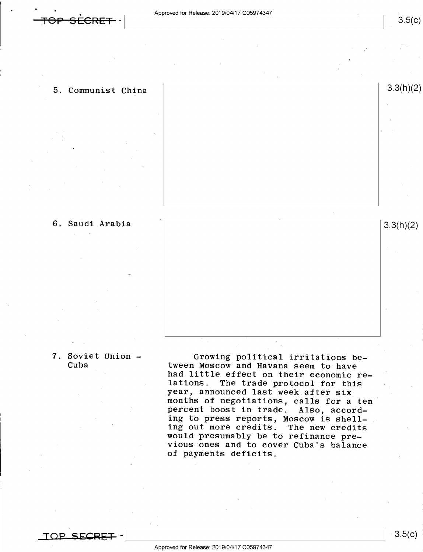$\bullet$  '  $\bullet$ 



Q



7. Soviet Union - Growing political irritations be-<br>Cuba tween Moscow and Havana seem to have<br>had little effect on their economic relations. The trade protocol for this year, announced last week after six months of negotiations, calls for a ten percent boost in trade. Also, accord-<br>ing to press reports, Moscow is shelling out more credits. The new credits<br>would presumably be to refinance pre-<br>vious ones and to cover Cuba's balance of payments deficits.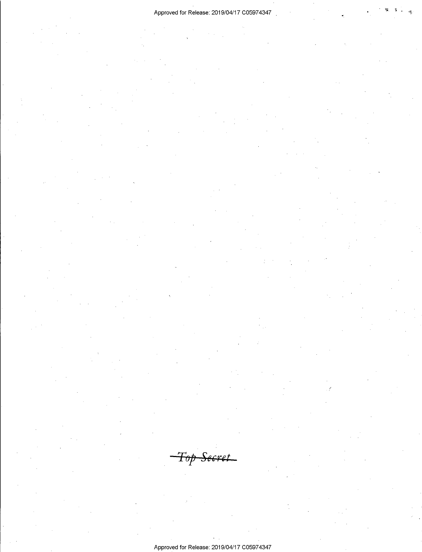## Approved for Release: 2019/04/17 C05974347

<del>Top Secret</del> Approved for Release: 2019/04/17 C05974347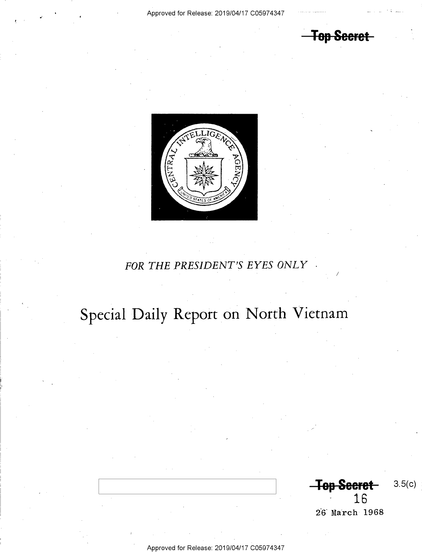**-Top Secret-**



## FOR THE PRESIDENT'S EYES ONLY

# Special Daily Report on North Vietnam

**Top Secret**  $3.5(c)$ 16

26 March 1968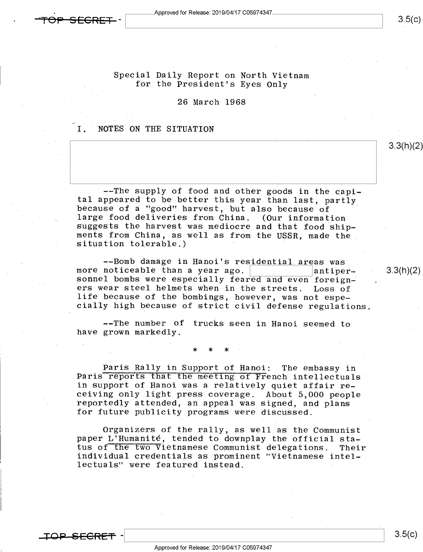Approved for Release: 2019/04/17 C05974347

## $3.5(c)$

3.3(h)(2)

## Special Daily Report on North Vietnam for the President's Eyes Only

26 March 1968

## I. NOTES ON THE SITUATION

.

--The supply of food and other goods in the capi-<br>tal appeared to be better this year than last, partly<br>because of a "good" harvest, but also because of<br>large food deliveries from China. (Our information<br>suggests the harve

--Bomb damage in Hanoi's residential areas was<br>more noticeable than a year ago. <br>sonnel bombs were especially feared and even foreign-<br>ers wear steel helmets when in the streets. Loss of life because of the bombings, however, was not especially high because of strict civil defense regulations.

--The number of trucks seen in Hanoi seemed to have grown markedly.

; the contract of the contract of  $\mathbb{X}$  and  $\mathbb{X}$ 

Paris Rally in Support of Hanoi: The embassy in Paris reports that the meeting of French intellectuals' in support of Hanoi was a relatively quiet affair re-<br>ceiving only light press coverage. About 5,000 people reportedly attended, an appeal was signed, and plans for future publicity programs were discussed.

Organizers of the rally, as well as the Communist<br>paper L'Humanité, tended to downplay the official sta-<br>tus of the two Vietnamese Communist delegations. Their individual credentials as prominent "Vietnamese intel-<br>lectuals" were featured instead.

IQ<del>P SECRET</del>

 $3.5(c)$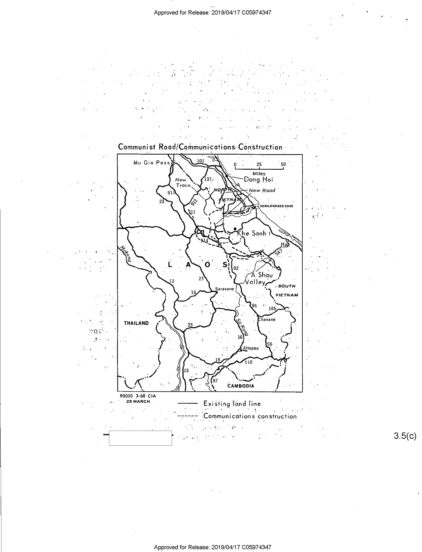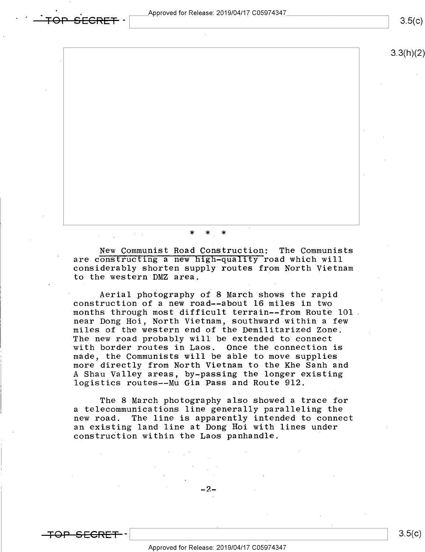. Approved for Release: 2019/O4/17 CO5974347 - Approved for Release: 2019/04/17 C05974347<br>
3.5(c)

3.3(h)(2)

-  $*$  \* \* \*

New Communist Road Construction: The Communists are constructing a new high-quality road which will considerably shorten supply routes from North Vietnam to the western DMZ area.

Aerial photography of 8 March shows the rapid construction of a new road--about 16 miles in two months through most difficult terrain--from Route 101 near Dong Hoi, North Vietnam, southward within a few miles of the western end of the Demilitarized Zone; with border routes in Laos. Once the connection is made, the Communists will be able to move supplies more directly from North Vietnam to the Khe Sanh and A Shau Valley areas, by-passing the longer existing logistics routes--Mu Gia Pass and Route 912.

The 8 March photography also showed a trace for a telecommunications line generally paralleling the<br>new road. The line is apparently intended to conne The line is apparently intended to connect an existing land line at Dong Hoi with lines under construction within the Laos panhandle.

-2-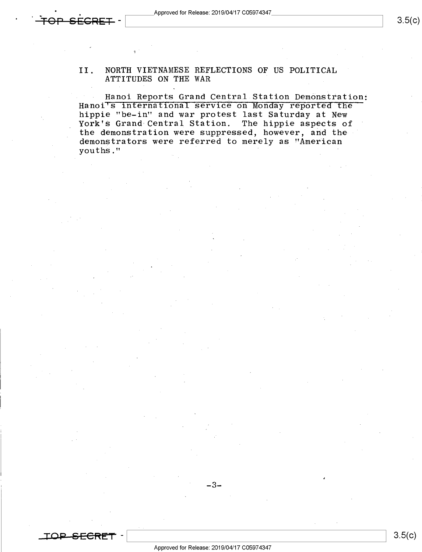,

'

## II. NORTH VIETNAMESE REFLECTIONS OF US POLITICAL ATTITUDES ON THE WAR

Hanoi Reports Grand Central Station Demonstration:<br>Hanoi's international service on Monday reported the hippie "be-in" and war protest last Saturday at New York's Grand Central Station. The hippie aspects of the demonstration were suppressed, however, and the demonstrators were referred to merely as "American youths."

 $-3 \overline{\phantom{a}}$